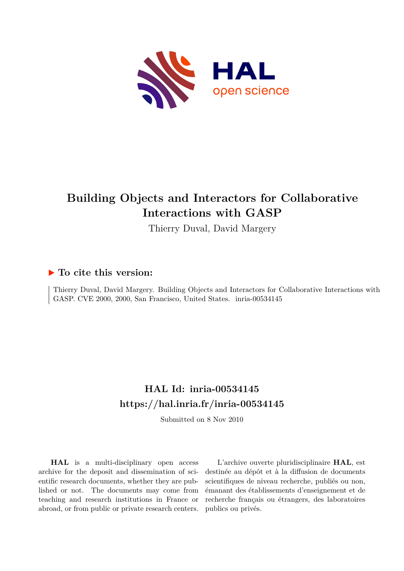

# **Building Objects and Interactors for Collaborative Interactions with GASP**

Thierry Duval, David Margery

## **To cite this version:**

Thierry Duval, David Margery. Building Objects and Interactors for Collaborative Interactions with GASP. CVE 2000, 2000, San Francisco, United States. inria-00534145

## **HAL Id: inria-00534145 <https://hal.inria.fr/inria-00534145>**

Submitted on 8 Nov 2010

**HAL** is a multi-disciplinary open access archive for the deposit and dissemination of scientific research documents, whether they are published or not. The documents may come from teaching and research institutions in France or abroad, or from public or private research centers.

L'archive ouverte pluridisciplinaire **HAL**, est destinée au dépôt et à la diffusion de documents scientifiques de niveau recherche, publiés ou non, émanant des établissements d'enseignement et de recherche français ou étrangers, des laboratoires publics ou privés.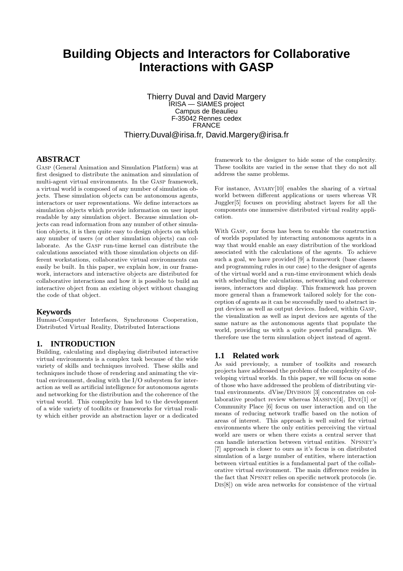## **Building Objects and Interactors for Collaborative Interactions with GASP**

Thierry Duval and David Margery IRISA — SIAMES project Campus de Beaulieu F-35042 Rennes cedex FRANCE Thierry.Duval@irisa.fr, David.Margery@irisa.fr

#### **ABSTRACT**

Gasp (General Animation and Simulation Platform) was at first designed to distribute the animation and simulation of multi-agent virtual environments. In the Gasp framework, a virtual world is composed of any number of simulation objects. These simulation objects can be autonomous agents, interactors or user representations. We define interactors as simulation objects which provide information on user input readable by any simulation object. Because simulation objects can read information from any number of other simulation objects, it is then quite easy to design objects on which any number of users (or other simulation objects) can collaborate. As the Gasp run-time kernel can distribute the calculations associated with those simulation objects on different workstations, collaborative virtual environments can easily be built. In this paper, we explain how, in our framework, interactors and interactive objects are distributed for collaborative interactions and how it is possible to build an interactive object from an existing object without changing the code of that object.

#### **Keywords**

Human-Computer Interfaces, Synchronous Cooperation, Distributed Virtual Reality, Distributed Interactions

#### **1. INTRODUCTION**

Building, calculating and displaying distributed interactive virtual environments is a complex task because of the wide variety of skills and techniques involved. These skills and techniques include those of rendering and animating the virtual environment, dealing with the I/O subsystem for interaction as well as artificial intelligence for autonomous agents and networking for the distribution and the coherence of the virtual world. This complexity has led to the development of a wide variety of toolkits or frameworks for virtual reality which either provide an abstraction layer or a dedicated framework to the designer to hide some of the complexity. These toolkits are varied in the sense that they do not all address the same problems.

For instance, AVIARY<sup>[10]</sup> enables the sharing of a virtual world between different applications or users whereas VR Juggler[5] focuses on providing abstract layers for all the components one immersive distributed virtual reality application.

With Gasp, our focus has been to enable the construction of worlds populated by interacting autonomous agents in a way that would enable an easy distribution of the workload associated with the calculations of the agents. To achieve such a goal, we have provided [9] a framework (base classes and programming rules in our case) to the designer of agents of the virtual world and a run-time environment which deals with scheduling the calculations, networking and coherence issues, interactors and display. This framework has proven more general than a framework tailored solely for the conception of agents as it can be successfully used to abstract input devices as well as output devices. Indeed, within Gasp, the visualization as well as input devices are agents of the same nature as the autonomous agents that populate the world, providing us with a quite powerful paradigm. We therefore use the term simulation object instead of agent.

#### **1.1 Related work**

As said previously, a number of toolkits and research projects have addressed the problem of the complexity of developing virtual worlds. In this paper, we will focus on some of those who have addressed the problem of distributing virtual environments. dVise/Division [3] concentrates on collaborative product review whereas Massive[4], Dive[1] or Community Place [6] focus on user interaction and on the means of reducing network traffic based on the notion of areas of interest. This approach is well suited for virtual environments where the only entities perceiving the virtual world are users or when there exists a central server that can handle interaction between virtual entities. NPSNET's [7] approach is closer to ours as it's focus is on distributed simulation of a large number of entities, where interaction between virtual entities is a fundamental part of the collaborative virtual environment. The main difference resides in the fact that NPSNET relies on specific network protocols (ie. Dis[8]) on wide area networks for consistence of the virtual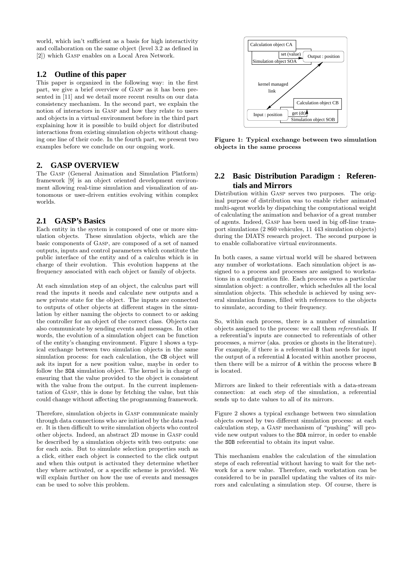world, which isn't sufficient as a basis for high interactivity and collaboration on the same object (level 3.2 as defined in [2]) which Gasp enables on a Local Area Network.

#### **1.2 Outline of this paper**

This paper is organized in the following way: in the first part, we give a brief overview of Gasp as it has been presented in [11] and we detail more recent results on our data consistency mechanism. In the second part, we explain the notion of interactors in Gasp and how they relate to users and objects in a virtual environment before in the third part explaining how it is possible to build object for distributed interactions from existing simulation objects without changing one line of their code. In the fourth part, we present two examples before we conclude on our ongoing work.

### **2. GASP OVERVIEW**

The Gasp (General Animation and Simulation Platform) framework [9] is an object oriented development environment allowing real-time simulation and visualization of autonomous or user-driven entities evolving within complex worlds.

### **2.1 GASP's Basics**

Each entity in the system is composed of one or more simulation objects. These simulation objects, which are the basic components of Gasp, are composed of a set of named outputs, inputs and control parameters which constitute the public interface of the entity and of a calculus which is in charge of their evolution. This evolution happens at the frequency associated with each object or family of objects.

At each simulation step of an object, the calculus part will read the inputs it needs and calculate new outputs and a new private state for the object. The inputs are connected to outputs of other objects at different stages in the simulation by either naming the objects to connect to or asking the controller for an object of the correct class. Objects can also communicate by sending events and messages. In other words, the evolution of a simulation object can be function of the entity's changing environment. Figure 1 shows a typical exchange between two simulation objects in the same simulation process: for each calculation, the CB object will ask its input for a new position value, maybe in order to follow the SOA simulation object. The kernel is in charge of ensuring that the value provided to the object is consistent with the value from the output. In the current implementation of Gasp, this is done by fetching the value, but this could change without affecting the programming framework.

Therefore, simulation objects in Gasp communicate mainly through data connections who are initiated by the data reader. It is then difficult to write simulation objects who control other objects. Indeed, an abstract 2D mouse in Gasp could be described by a simulation objects with two outputs: one for each axis. But to simulate selection properties such as a click, either each object is connected to the click output and when this output is activated they determine whether they where activated, or a specific scheme is provided. We will explain further on how the use of events and messages can be used to solve this problem.



**Figure 1: Typical exchange between two simulation objects in the same process**

## **2.2 Basic Distribution Paradigm : Referentials and Mirrors**

Distribution within Gasp serves two purposes. The original purpose of distribution was to enable richer animated multi-agent worlds by dispatching the computational weight of calculating the animation and behavior of a great number of agents. Indeed, Gasp has been used in big off-line transport simulations (2 860 vehicules, 11 443 simulation objects) during the DIATS research project. The second purpose is to enable collaborative virtual environments.

In both cases, a same virtual world will be shared between any number of workstations. Each simulation object is assigned to a process and processes are assigned to workstations in a configuration file. Each process owns a particular simulation object: a controller, which schedules all the local simulation objects. This schedule is achieved by using several simulation frames, filled with references to the objects to simulate, according to their frequency.

So, within each process, there is a number of simulation objects assigned to the process: we call them referentials. If a referential's inputs are connected to referentials of other processes, a mirror (aka. proxies or ghosts in the literature). For example, if there is a referential B that needs for input the output of a referential A located within another process, then there will be a mirror of A within the process where B is located.

Mirrors are linked to their referentials with a data-stream connection: at each step of the simulation, a referential sends up to date values to all of its mirrors.

Figure 2 shows a typical exchange between two simulation objects owned by two different simulation process: at each calculation step, a Gasp mechanism of "pushing" will provide new output values to the SOA mirror, in order to enable the SOB referential to obtain its input value.

This mechanism enables the calculation of the simulation steps of each referential without having to wait for the network for a new value. Therefore, each workstation can be considered to be in parallel updating the values of its mirrors and calculating a simulation step. Of course, there is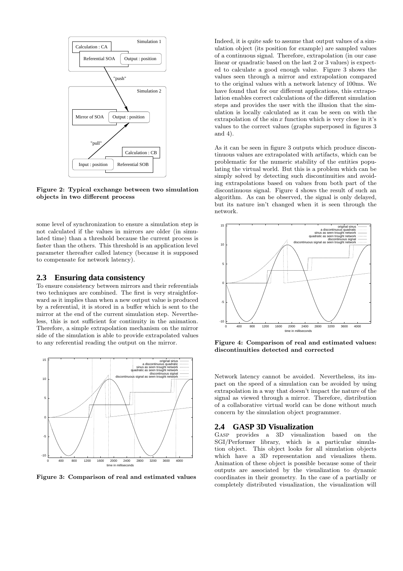

**Figure 2: Typical exchange between two simulation objects in two different process**

some level of synchronization to ensure a simulation step is not calculated if the values in mirrors are older (in simulated time) than a threshold because the current process is faster than the others. This threshold is an application level parameter thereafter called latency (because it is supposed to compensate for network latency).

#### **2.3 Ensuring data consistency**

To ensure consistency between mirrors and their referentials two techniques are combined. The first is very straightforward as it implies than when a new output value is produced by a referential, it is stored in a buffer which is sent to the mirror at the end of the current simulation step. Nevertheless, this is not sufficient for continuity in the animation. Therefore, a simple extrapolation mechanism on the mirror side of the simulation is able to provide extrapolated values to any referential reading the output on the mirror.



**Figure 3: Comparison of real and estimated values**

Indeed, it is quite safe to assume that output values of a simulation object (its position for example) are sampled values of a continuous signal. Therefore, extrapolation (in our case linear or quadratic based on the last 2 or 3 values) is expected to calculate a good enough value. Figure 3 shows the values seen through a mirror and extrapolation compared to the original values with a network latency of 100ms. We have found that for our different applications, this extrapolation enables correct calculations of the different simulation steps and provides the user with the illusion that the simulation is locally calculated as it can be seen on with the extrapolation of the  $\sin x$  function which is very close in it's values to the correct values (graphs superposed in figures 3 and 4).

As it can be seen in figure 3 outputs which produce discontinuous values are extrapolated with artifacts, which can be problematic for the numeric stability of the entities populating the virtual world. But this is a problem which can be simply solved by detecting such discontinuities and avoiding extrapolations based on values from both part of the discontinuous signal. Figure 4 shows the result of such an algorithm. As can be observed, the signal is only delayed, but its nature isn't changed when it is seen through the network.



**Figure 4: Comparison of real and estimated values: discontinuities detected and corrected**

Network latency cannot be avoided. Nevertheless, its impact on the speed of a simulation can be avoided by using extrapolation in a way that doesn't impact the nature of the signal as viewed through a mirror. Therefore, distribution of a collaborative virtual world can be done without much concern by the simulation object programmer.

## **2.4 GASP 3D Visualization**

Gasp provides a 3D visualization based on the SGI/Performer library, which is a particular simulation object. This object looks for all simulation objects which have a 3D representation and visualizes them. Animation of these object is possible because some of their outputs are associated by the visualization to dynamic coordinates in their geometry. In the case of a partially or completely distributed visualization, the visualization will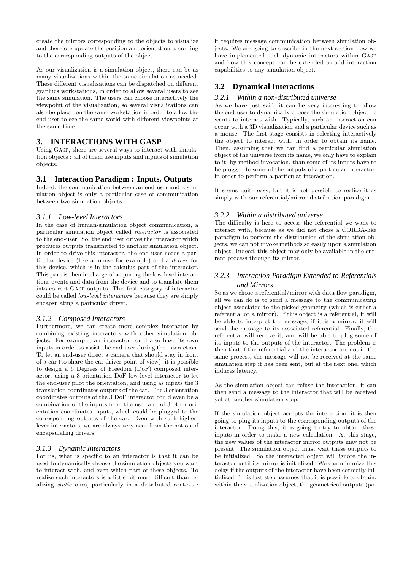create the mirrors corresponding to the objects to visualize and therefore update the position and orientation according to the corresponding outputs of the object.

As our visualization is a simulation object, there can be as many visualizations within the same simulation as needed. These different visualizations can be dispatched on different graphics workstations, in order to allow several users to see the same simulation. The users can choose interactively the viewpoint of the visualization, so several visualizations can also be placed on the same workstation in order to allow the end-user to see the same world with different viewpoints at the same time.

## **3. INTERACTIONS WITH GASP**

Using Gasp, there are several ways to interact with simulation objects : all of them use inputs and inputs of simulation objects.

### **3.1 Interaction Paradigm : Inputs, Outputs**

Indeed, the communication between an end-user and a simulation object is only a particular case of communication between two simulation objects.

#### *3.1.1 Low-level Interactors*

In the case of human-simulation object communication, a particular simulation object called interactor is associated to the end-user. So, the end user drives the interactor which produces outputs transmitted to another simulation object. In order to drive this interactor, the end-user needs a particular device (like a mouse for example) and a driver for this device, which is in the calculus part of the interactor. This part is then in charge of acquiring the low-level interactions events and data from the device and to translate them into correct Gasp outputs. This first category of interactor could be called low-level interactors because they are simply encapsulating a particular driver.

### *3.1.2 Composed Interactors*

Furthermore, we can create more complex interactor by combining existing interactors with other simulation objects. For example, an interactor could also have its own inputs in order to assist the end-user during the interaction. To let an end-user direct a camera that should stay in front of a car (to share the car driver point of view), it is possible to design a 6 Degrees of Freedom (DoF) composed interactor, using a 3 orientation DoF low-level interactor to let the end-user pilot the orientation, and using as inputs the 3 translation coordinates outputs of the car. The 3 orientation coordinates outputs of the 3 DoF interactor could even be a combination of the inputs from the user and of 3 other orientation coordinates inputs, which could be plugged to the corresponding outputs of the car. Even with such higherlever interactors, we are always very near from the notion of encapsulating drivers.

### *3.1.3 Dynamic Interactors*

For us, what is specific to an interactor is that it can be used to dynamically choose the simulation objects you want to interact with, and even which part of these objects. To realize such interactors is a little bit more difficult than realizing static ones, particularly in a distributed context :

it requires message communication between simulation objects. We are going to describe in the next section how we have implemented such dynamic interactors within Gasp and how this concept can be extended to add interaction capabilities to any simulation object.

## **3.2 Dynamical Interactions**

## *3.2.1 Within a non-distributed universe*

As we have just said, it can be very interesting to allow the end-user to dynamically choose the simulation object he wants to interact with. Typically, such an interaction can occur with a 3D visualization and a particular device such as a mouse. The first stage consists in selecting interactively the object to interact with, in order to obtain its name. Then, assuming that we can find a particular simulation object of the universe from its name, we only have to explain to it, by method invocation, than some of its inputs have to be plugged to some of the outputs of a particular interactor, in order to perform a particular interaction.

It seems quite easy, but it is not possible to realize it as simply with our referential/mirror distribution paradigm.

#### *3.2.2 Within a distributed universe*

The difficulty is here to access the referential we want to interact with, because as we did not chose a CORBA-like paradigm to perform the distribution of the simulation objects, we can not invoke methods so easily upon a simulation object. Indeed, this object may only be available in the current process through its mirror.

## *3.2.3 Interaction Paradigm Extended to Referentials and Mirrors*

So as we chose a referential/mirror with data-flow paradigm, all we can do is to send a message to the communicating object associated to the picked geometry (which is either a referential or a mirror). If this object is a referential, it will be able to interpret the message, if it is a mirror, it will send the message to its associated referential. Finally, the referential will receive it, and will be able to plug some of its inputs to the outputs of the interactor. The problem is then that if the referential and the interactor are not in the same process, the message will not be received at the same simulation step it has been sent, but at the next one, which induces latency.

As the simulation object can refuse the interaction, it can then send a message to the interactor that will be received yet at another simulation step.

If the simulation object accepts the interaction, it is then going to plug its inputs to the corresponding outputs of the interactor. Doing this, it is going to try to obtain these inputs in order to make a new calculation. At this stage, the new values of the interactor mirror outputs may not be present. The simulation object must wait these outputs to be initialized. So the interacted object will ignore the interactor until its mirror is initialized. We can minimize this delay if the outputs of the interactor have been correctly initialized. This last step assumes that it is possible to obtain, within the visualization object, the geometrical outputs (po-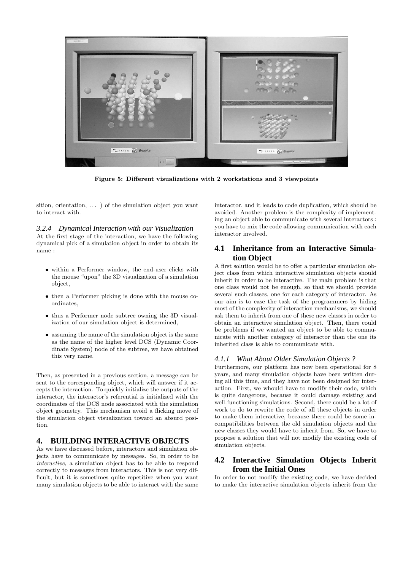

**Figure 5: Different visualizations with 2 workstations and 3 viewpoints**

sition, orientation, ... ) of the simulation object you want to interact with.

#### *3.2.4 Dynamical Interaction with our Visualization*

At the first stage of the interaction, we have the following dynamical pick of a simulation object in order to obtain its name :

- within a Performer window, the end-user clicks with the mouse "upon" the 3D visualization of a simulation object,
- then a Performer picking is done with the mouse coordinates,
- thus a Performer node subtree owning the 3D visualization of our simulation object is determined,
- assuming the name of the simulation object is the same as the name of the higher level DCS (Dynamic Coordinate System) node of the subtree, we have obtained this very name.

Then, as presented in a previous section, a message can be sent to the corresponding object, which will answer if it accepts the interaction. To quickly initialize the outputs of the interactor, the interactor's referential is initialized with the coordinates of the DCS node associated with the simulation object geometry. This mechanism avoid a flicking move of the simulation object visualization toward an absurd position.

## **4. BUILDING INTERACTIVE OBJECTS**

As we have discussed before, interactors and simulation objects have to communicate by messages. So, in order to be interactive, a simulation object has to be able to respond correctly to messages from interactors. This is not very difficult, but it is sometimes quite repetitive when you want many simulation objects to be able to interact with the same

interactor, and it leads to code duplication, which should be avoided. Another problem is the complexity of implementing an object able to communicate with several interactors : you have to mix the code allowing communication with each interactor involved.

### **4.1 Inheritance from an Interactive Simulation Object**

A first solution would be to offer a particular simulation object class from which interactive simulation objects should inherit in order to be interactive. The main problem is that one class would not be enough, so that we should provide several such classes, one for each category of interactor. As our aim is to ease the task of the programmers by hiding most of the complexity of interaction mechanisms, we should ask them to inherit from one of these new classes in order to obtain an interactive simulation object. Then, there could be problems if we wanted an object to be able to communicate with another category of interactor than the one its inherited class is able to communicate with.

#### *4.1.1 What About Older Simulation Objects ?*

Furthermore, our platform has now been operational for 8 years, and many simulation objects have been written during all this time, and they have not been designed for interaction. First, we whould have to modify their code, which is quite dangerous, because it could damage existing and well-functioning simulations. Second, there could be a lot of work to do to rewrite the code of all these objects in order to make them interactive, because there could be some incompatibilities between the old simulation objects and the new classes they would have to inherit from. So, we have to propose a solution that will not modify the existing code of simulation objects.

## **4.2 Interactive Simulation Objects Inherit from the Initial Ones**

In order to not modify the existing code, we have decided to make the interactive simulation objects inherit from the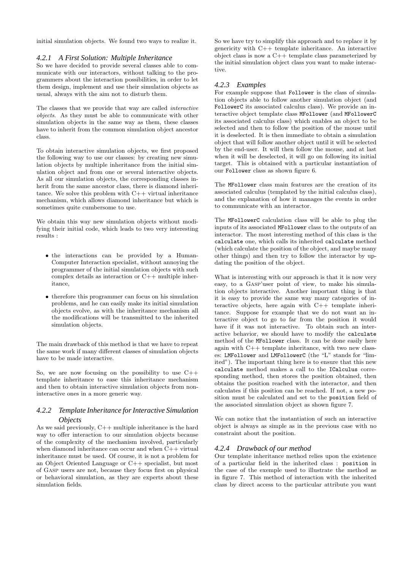initial simulation objects. We found two ways to realize it.

#### *4.2.1 A First Solution: Multiple Inheritance*

So we have decided to provide several classes able to communicate with our interactors, without talking to the programmers about the interaction possibilities, in order to let them design, implement and use their simulation objects as usual, always with the aim not to disturb them.

The classes that we provide that way are called interactive objects. As they must be able to communicate with other simulation objects in the same way as them, these classes have to inherit from the common simulation object ancestor class.

To obtain interactive simulation objects, we first proposed the following way to use our classes: by creating new simulation objects by multiple inheritance from the initial simulation object and from one or several interactive objects. As all our simulation objects, the corresponding classes inherit from the same ancestor class, there is diamond inheritance. We solve this problem with C++ virtual inheritance mechanism, which allows diamond inheritance but which is sometimes quite cumbersome to use.

We obtain this way new simulation objects without modifying their initial code, which leads to two very interesting results :

- the interactions can be provided by a Human-Computer Interaction specialist, without annoying the programmer of the initial simulation objects with such complex details as interaction or C++ multiple inheritance,
- therefore this programmer can focus on his simulation problems, and he can easily make its initial simulation objects evolve, as with the inheritance mechanism all the modifications will be transmitted to the inherited simulation objects.

The main drawback of this method is that we have to repeat the same work if many different classes of simulation objects have to be made interactive.

So, we are now focusing on the possibility to use  $C++$ template inheritance to ease this inheritance mechanism and then to obtain interactive simulation objects from noninteractive ones in a more generic way.

#### *4.2.2 Template Inheritance for Interactive Simulation Objects*

As we said previously,  $C_{++}$  multiple inheritance is the hard way to offer interaction to our simulation objects because of the complexity of the mechanism involved, particularly when diamond inheritance can occur and when C++ virtual inheritance must be used. Of course, it is not a problem for an Object Oriented Language or C++ specialist, but most of Gasp users are not, because they focus first on physical or behavioral simulation, as they are experts about these simulation fields.

So we have try to simplify this approach and to replace it by genericity with C++ template inheritance. An interactive object class is now a C++ template class parameterized by the initial simulation object class you want to make interactive.

#### *4.2.3 Examples*

For example suppose that Follower is the class of simulation objects able to follow another simulation object (and FollowerC its associated calculus class). We provide an interactive object template class MFollower (and MFollowerC its associated calculus class) which enables an object to be selected and then to follow the position of the mouse until it is deselected. It is then immediate to obtain a simulation object that will follow another object until it will be selected by the end-user. It will then follow the mouse, and at last when it will be deselected, it will go on following its initial target. This is obtained with a particular instantiation of our Follower class as shown figure 6.

The MFollower class main features are the creation of its associated calculus (templated by the initial calculus class), and the explanation of how it manages the events in order to communicate with an interactor.

The MFollowerC calculation class will be able to plug the inputs of its associated MFollower class to the outputs of an interactor. The most interesting method of this class is the calculate one, which calls its inherited calculate method (which calculate the position of the object, and maybe many other things) and then try to follow the interactor by updating the position of the object.

What is interesting with our approach is that it is now very easy, to a Gasp'user point of view, to make his simulation objects interactive. Another important thing is that it is easy to provide the same way many categories of interactive objects, here again with C++ template inheritance. Suppose for example that we do not want an interactive object to go to far from the position it would have if it was not interactive. To obtain such an interactive behavior, we should have to modify the calculate method of the MFollower class. It can be done easily here again with C++ template inheritance, with two new classes: LMFollower and LMFollowerC (the "L" stands for "limited"). The important thing here is to ensure that this new calculate method makes a call to the ICalculus corresponding method, then stores the position obtained, then obtains the position reached with the interactor, and then calculates if this position can be reached. If not, a new position must be calculated and set to the position field of the associated simulation object as shown figure 7.

We can notice that the instantiation of such an interactive object is always as simple as in the previous case with no constraint about the position.

#### *4.2.4 Drawback of our method*

Our template inheritance method relies upon the existence of a particular field in the inherited class : position in the case of the exemple used to illustrate the method as in figure 7. This method of interaction with the inherited class by direct access to the particular attribute you want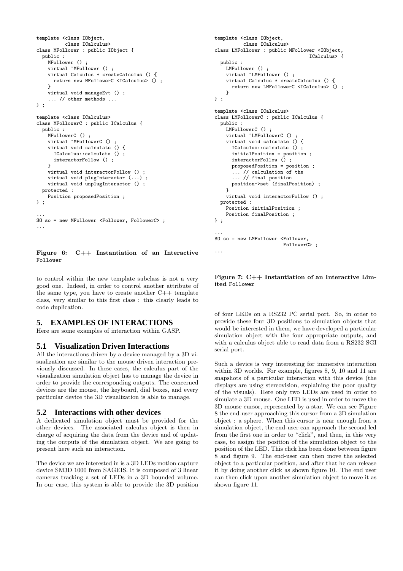```
template <class IObject,
          class ICalculus>
class MFollower : public IObject {
  public :
   MFollower () ;
    virtual "MFollower () ;
   virtual Calculus * createCalculus () {
      return new MFollowerC <ICalculus> () ;
   }
    virtual void manageEvt () ;
    ... // other methods ...
} ;
template <class ICalculus>
class MFollowerC : public ICalculus {
 public :
   MFollowerC () ;
    virtual "MFollowerC () ;
    virtual void calculate () {
      ICalculus::calculate () ;
      interactorFollow () ;
    }
   virtual void interactorFollow () ;
   virtual void plugInteractor (...) ;
   virtual void unplugInteractor () ;
  protected :
   Position proposedPosition ;
} ;
...
SO so = new MFollower <Follower, FollowerC> ;
...
```
#### **Figure 6: C++ Instantiation of an Interactive** Follower

to control within the new template subclass is not a very good one. Indeed, in order to control another attribute of the same type, you have to create another  $C++$  template class, very similar to this first class : this clearly leads to code duplication.

#### **5. EXAMPLES OF INTERACTIONS**

Here are some examples of interaction within GASP.

#### **5.1 Visualization Driven Interactions**

All the interactions driven by a device managed by a 3D visualization are similar to the mouse driven interaction previously discussed. In these cases, the calculus part of the visualization simulation object has to manage the device in order to provide the corresponding outputs. The concerned devices are the mouse, the keyboard, dial boxes, and every particular device the 3D visualization is able to manage.

#### **5.2 Interactions with other devices**

A dedicated simulation object must be provided for the other devices. The associated calculus object is then in charge of acquiring the data from the device and of updating the outputs of the simulation object. We are going to present here such an interaction.

The device we are interested in is a 3D LEDs motion capture device SM3D 1000 from SAGEIS. It is composed of 3 linear cameras tracking a set of LEDs in a 3D bounded volume. In our case, this system is able to provide the 3D position

```
template <class IObject,
          class ICalculus>
class LMFollower : public MFollower <IObject,
                                  ICalculus> {
  public :
    LMFollower () ;
    virtual "LMFollower () ;
    virtual Calculus * createCalculus () {
      return new LMFollowerC <ICalculus> () ;
    }
} ;
template <class ICalculus>
class LMFollowerC : public ICalculus {
  public :
    LMFollowerC () ;
    virtual "LMFollowerC () ;
    virtual void calculate () {
      ICalculus::calculate () ;
      initialPosition = position ;
      interactorFollow () ;
      proposedPosition = position ;
      ... // calculation of the
      ... // final position
      position->set (finalPosition) ;
    }
    virtual void interactorFollow () ;
  protected :
    Position initialPosition ;
    Position finalPosition ;
} ;
...
SO so = new LMFollower <Follower,
                        FollowerC> :
```
...

#### **Figure 7: C++ Instantiation of an Interactive Limited** Follower

of four LEDs on a RS232 PC serial port. So, in order to provide these four 3D positions to simulation objects that would be interested in them, we have developed a particular simulation object with the four appropriate outputs, and with a calculus object able to read data from a RS232 SGI serial port.

Such a device is very interesting for immersive interaction within 3D worlds. For example, figures 8, 9, 10 and 11 are snapshots of a particular interaction with this device (the displays are using stereovision, explaining the poor quality of the visuals). Here only two LEDs are used in order to simulate a 3D mouse. One LED is used in order to move the 3D mouse cursor, represented by a star. We can see Figure 8 the end-user approaching this cursor from a 3D simulation object : a sphere. When this cursor is near enough from a simulation object, the end-user can approach the second led from the first one in order to "click", and then, in this very case, to assign the position of the simulation object to the position of the LED. This click has been done between figure 8 and figure 9. The end-user can then move the selected object to a particular position, and after that he can release it by doing another click as shown figure 10. The end user can then click upon another simulation object to move it as shown figure 11.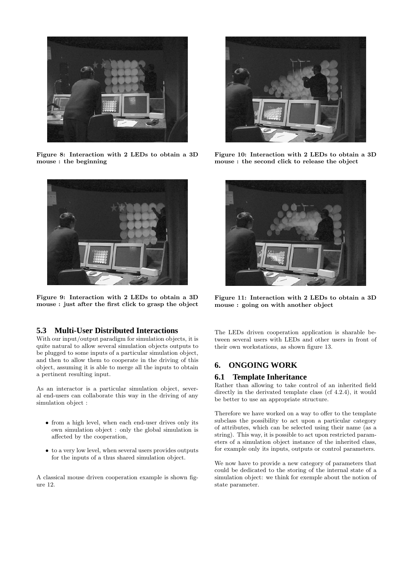

**Figure 8: Interaction with 2 LEDs to obtain a 3D mouse : the beginning**



**Figure 9: Interaction with 2 LEDs to obtain a 3D mouse : just after the first click to grasp the object**

#### **5.3 Multi-User Distributed Interactions**

With our input/output paradigm for simulation objects, it is quite natural to allow several simulation objects outputs to be plugged to some inputs of a particular simulation object, and then to allow them to cooperate in the driving of this object, assuming it is able to merge all the inputs to obtain a pertinent resulting input.

As an interactor is a particular simulation object, several end-users can collaborate this way in the driving of any simulation object :

- from a high level, when each end-user drives only its own simulation object : only the global simulation is affected by the cooperation,
- to a very low level, when several users provides outputs for the inputs of a thus shared simulation object.

A classical mouse driven cooperation example is shown figure 12.



**Figure 10: Interaction with 2 LEDs to obtain a 3D mouse : the second click to release the object**



**Figure 11: Interaction with 2 LEDs to obtain a 3D mouse : going on with another object**

The LEDs driven cooperation application is sharable between several users with LEDs and other users in front of their own workstations, as shown figure 13.

### **6. ONGOING WORK**

### **6.1 Template Inheritance**

Rather than allowing to take control of an inherited field directly in the derivated template class (cf 4.2.4), it would be better to use an appropriate structure.

Therefore we have worked on a way to offer to the template subclass the possibility to act upon a particular category of attributes, which can be selected using their name (as a string). This way, it is possible to act upon restricted parameters of a simulation object instance of the inherited class, for example only its inputs, outputs or control parameters.

We now have to provide a new category of parameters that could be dedicated to the storing of the internal state of a simulation object: we think for exemple about the notion of state parameter.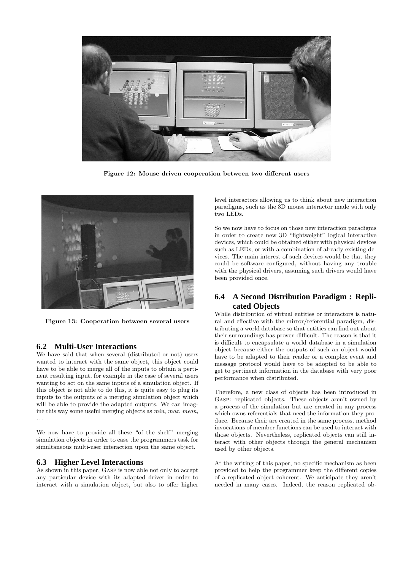

**Figure 12: Mouse driven cooperation between two different users**



**Figure 13: Cooperation between several users**

#### **6.2 Multi-User Interactions**

We have said that when several (distributed or not) users wanted to interact with the same object, this object could have to be able to merge all of the inputs to obtain a pertinent resulting input, for example in the case of several users wanting to act on the same inputs of a simulation object. If this object is not able to do this, it is quite easy to plug its inputs to the outputs of a merging simulation object which will be able to provide the adapted outputs. We can imagine this way some useful merging objects as min, max, mean, ...

We now have to provide all these "of the shelf" merging simulation objects in order to ease the programmers task for simultaneous multi-user interaction upon the same object.

#### **6.3 Higher Level Interactions**

As shown in this paper, Gasp is now able not only to accept any particular device with its adapted driver in order to interact with a simulation object, but also to offer higher level interactors allowing us to think about new interaction paradigms, such as the 3D mouse interactor made with only two LEDs.

So we now have to focus on those new interaction paradigms in order to create new 3D "lightweight" logical interactive devices, which could be obtained either with physical devices such as LEDs, or with a combination of already existing devices. The main interest of such devices would be that they could be software configured, without having any trouble with the physical drivers, assuming such drivers would have been provided once.

#### **6.4 A Second Distribution Paradigm : Replicated Objects**

While distribution of virtual entities or interactors is natural and effective with the mirror/referential paradigm, distributing a world database so that entities can find out about their surroundings has proven difficult. The reason is that it is difficult to encapsulate a world database in a simulation object because either the outputs of such an object would have to be adapted to their reader or a complex event and message protocol would have to be adopted to be able to get to pertinent information in the database with very poor performance when distributed.

Therefore, a new class of objects has been introduced in GASP: replicated objects. These objects aren't owned by a process of the simulation but are created in any process which owns referentials that need the information they produce. Because their are created in the same process, method invocations of member functions can be used to interact with those objects. Nevertheless, replicated objects can still interact with other objects through the general mechanism used by other objects.

At the writing of this paper, no specific mechanism as been provided to help the programmer keep the different copies of a replicated object coherent. We anticipate they aren't needed in many cases. Indeed, the reason replicated ob